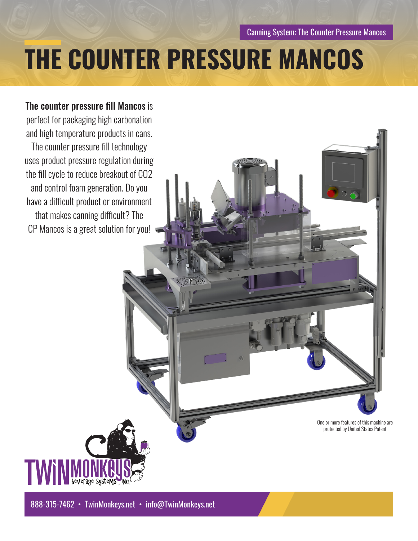Canning System: The Counter Pressure Mancos

# **THE COUNTER PRESSURE MANCOS**

## The counter pressure fill Mancos is perfect for packaging high carbonation and high temperature products in cans.

The counter pressure fill technology uses product pressure regulation during the fill cycle to reduce breakout of CO2 and control foam generation. Do you have a difficult product or environment that makes canning difficult? The CP Mancos is a great solution for you!

> One or more features of this machine are protected by United States Patent